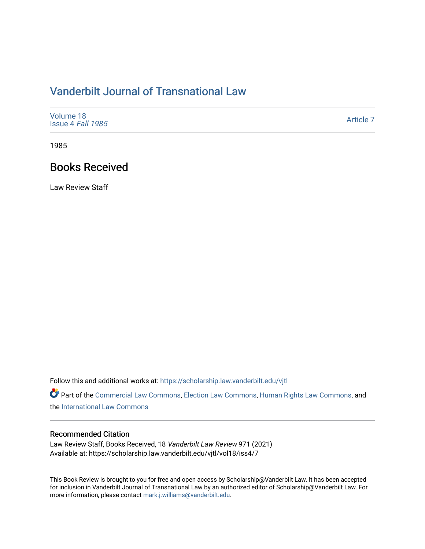## [Vanderbilt Journal of Transnational Law](https://scholarship.law.vanderbilt.edu/vjtl)

| Volume 18<br>Issue 4 Fall 1985 | Article 7 |
|--------------------------------|-----------|
|--------------------------------|-----------|

1985

## Books Received

Law Review Staff

Follow this and additional works at: [https://scholarship.law.vanderbilt.edu/vjtl](https://scholarship.law.vanderbilt.edu/vjtl?utm_source=scholarship.law.vanderbilt.edu%2Fvjtl%2Fvol18%2Fiss4%2F7&utm_medium=PDF&utm_campaign=PDFCoverPages) 

Part of the [Commercial Law Commons](http://network.bepress.com/hgg/discipline/586?utm_source=scholarship.law.vanderbilt.edu%2Fvjtl%2Fvol18%2Fiss4%2F7&utm_medium=PDF&utm_campaign=PDFCoverPages), [Election Law Commons,](http://network.bepress.com/hgg/discipline/1121?utm_source=scholarship.law.vanderbilt.edu%2Fvjtl%2Fvol18%2Fiss4%2F7&utm_medium=PDF&utm_campaign=PDFCoverPages) [Human Rights Law Commons,](http://network.bepress.com/hgg/discipline/847?utm_source=scholarship.law.vanderbilt.edu%2Fvjtl%2Fvol18%2Fiss4%2F7&utm_medium=PDF&utm_campaign=PDFCoverPages) and the [International Law Commons](http://network.bepress.com/hgg/discipline/609?utm_source=scholarship.law.vanderbilt.edu%2Fvjtl%2Fvol18%2Fiss4%2F7&utm_medium=PDF&utm_campaign=PDFCoverPages) 

## Recommended Citation

Law Review Staff, Books Received, 18 Vanderbilt Law Review 971 (2021) Available at: https://scholarship.law.vanderbilt.edu/vjtl/vol18/iss4/7

This Book Review is brought to you for free and open access by Scholarship@Vanderbilt Law. It has been accepted for inclusion in Vanderbilt Journal of Transnational Law by an authorized editor of Scholarship@Vanderbilt Law. For more information, please contact [mark.j.williams@vanderbilt.edu](mailto:mark.j.williams@vanderbilt.edu).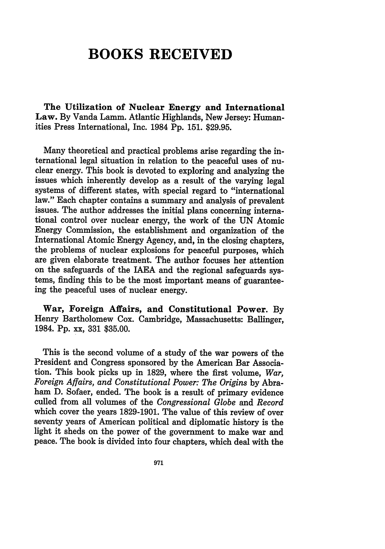## **BOOKS RECEIVED**

**The Utilization of Nuclear Energy and International Law. By** Vanda Lamm. Atlantic Highlands, New Jersey: Humanities Press International, Inc. 1984 **Pp. 151. \$29.95.**

Many theoretical and practical problems arise regarding the international legal situation in relation to the peaceful uses of nuclear energy. This book is devoted to exploring and analyzing the issues which inherently develop as a result of the varying legal systems of different states, with special regard to "international law." Each chapter contains a summary and analysis of prevalent issues. The author addresses the initial plans concerning international control over nuclear energy, the work of the **UN** Atomic Energy Commission, the establishment and organization of the International Atomic Energy Agency, and, in the closing chapters, the problems of nuclear explosions for peaceful purposes, which are given elaborate treatment. The author focuses her attention on the safeguards of the IAEA and the regional safeguards systems, finding this to be the most important means of guaranteeing the peaceful uses of nuclear energy.

**War, Foreign Affairs, and Constitutional Power. By** Henry Bartholomew Cox. Cambridge, Massachusetts: Ballinger, 1984. **Pp.** xx, **331 \$35.00.**

This is the second volume of a study of the war powers of the President and Congress sponsored **by** the American Bar Association. This book picks up in **1829,** where the first volume, *War, Foreign Affairs, and Constitutional Power: The Origins* **by** Abraham **D.** Sofaer, ended. The book is a result of primary evidence culled from all volumes of the *Congressional Globe and Record* which cover the years **1829-1901.** The value of this review of over seventy years of American political and diplomatic history is the light it sheds on the power of the government to make war and peace. The book is divided into four chapters, which deal with the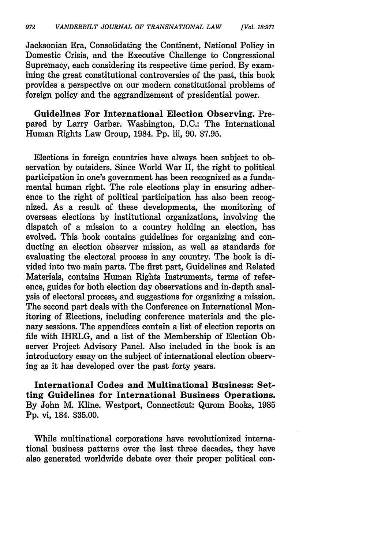Jacksonian Era, Consolidating the Continent, National Policy in Domestic Crisis, and the Executive Challenge to Congressional Supremacy, each considering its respective time period. **By** examining the great constitutional controversies of the past, this book provides a perspective on our modern constitutional problems of foreign policy and the aggrandizement of presidential power.

Guidelines For International Election Observing. Prepared **by** Larry Garber. Washington, **D.C.:** The International Human Rights Law Group, 1984. **Pp.** iii, **90. \$7.95.**

Elections in foreign countries have always been subject to observation **by** outsiders. Since World War II, the right to political participation in one's government has been recognized as a fundamental human right. The role elections play in ensuring adherence to the right of political participation has also been recognized. As a result of these developments, the monitoring of overseas elections **by** institutional organizations, involving the dispatch of a mission to a country holding an election, has evolved. This book contains guidelines for organizing and conducting an election observer mission, as well as standards for evaluating the electoral process in any country. The book is divided into two main parts. The first part, Guidelines and Related Materials, contains Human Rights Instruments, terms of reference, guides for both election day observations and in-depth analysis of electoral process, and suggestions for organizing a mission. The second part deals with the Conference on International Monitoring of Elections, including conference materials and the plenary sessions. The appendices contain a list of election reports on file with IHRLG, and a list of the Membership of Election Observer Project Advisory Panel. Also included in the book is an introductory essay on the subject of international election observing as it has developed over the past forty years.

International Codes and Multinational Business: Setting Guidelines for International Business Operations. **By** John M. Kline. Westport, Connecticut: Qurom Books, **1985 Pp.** vi, 184. **\$35.00.**

While multinational corporations have revolutionized international business patterns over the last three decades, they have also generated worldwide debate over their proper political con-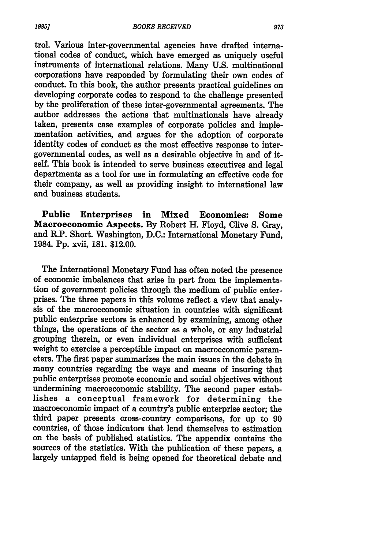trol. Various inter-governmental agencies have drafted international codes of conduct, which have emerged as uniquely useful instruments of international relations. Many U.S. multinational corporations have responded by formulating their own codes of conduct. In this book, the author presents practical guidelines on developing corporate codes to respond to the challenge presented by the proliferation of these inter-governmental agreements. The author addresses the actions that multinationals have already taken, presents case examples of corporate policies and implementation activities, and argues for the adoption of corporate identity codes of conduct as the most effective response to intergovernmental codes, as well as a desirable objective in and of itdepartments as a tool for use in formulating an effective code for their company, as well as providing insight to international law and business students.

Public Enterprises in **Mixed** Economies: Some Macroeconomic Aspects. By Robert H. Floyd, Clive **S.** Gray, and R.P. Short. Washington, **D.C.:** International Monetary Fund, 1984. Pp. xvii, 181. \$12.00.

The International Monetary Fund has often noted the presence of economic imbalances that arise in part from the implementation of government policies through the medium of public enterprises. The three papers in this volume reflect a view that analysis of the macroeconomic situation in countries with significant public enterprise sectors is enhanced by examining, among other things, the operations of the sector as a whole, or any industrial grouping therein, or even individual enterprises with sufficient weight to exercise a perceptible impact on macroeconomic parameters. The first paper summarizes the main issues in the debate in many countries regarding the ways and means of insuring that public enterprises promote economic and social objectives without undermining macroeconomic stability. The second paper establishes a conceptual framework for determining the macroeconomic impact of a country's public enterprise sector; the third paper presents cross-country comparisons, for up to 90 countries, of those indicators that lend themselves to estimation on the basis of published statistics. The appendix contains the sources of the statistics. With the publication of these papers, a largely untapped field is being opened for theoretical debate and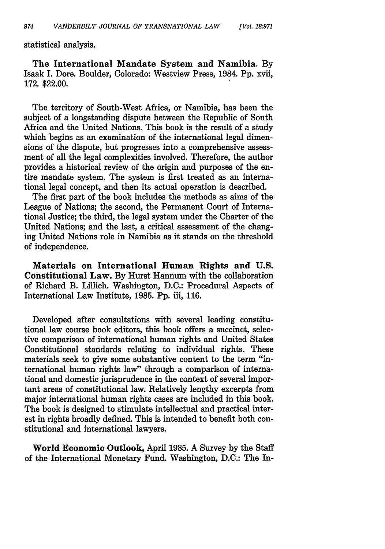statistical analysis.

The International Mandate System and Namibia. **By** Isaak I. Dore. Boulder, Colorado: Westview Press, 1984. Pp. xvii, 172. \$22.00.

The territory of South-West Africa, or Namibia, has been the subject of a longstanding dispute between the Republic of South Africa and the United Nations. This book is the result of a study which begins as an examination of the international legal dimensions of the dispute, but progresses into a comprehensive assessment of all the legal complexities involved. Therefore, the author provides a historical review of the origin and purposes of the entire mandate system. The system is first treated as an international legal concept, and then its actual operation is described.

The first part of the book includes the methods as aims of the League of Nations; the second, the Permanent Court of International Justice; the third, the legal system under the Charter of the United Nations; and the last, a critical assessment of the changing United Nations role in Namibia as it stands on the threshold of independence.

Materials on International Human Rights and **U.S.** Constitutional Law. By Hurst Hannum with the collaboration of Richard B. Lillich. Washington, D.C.: Procedural Aspects of International Law Institute, 1985. Pp. iii, 116.

Developed after consultations with several leading constitutional law course book editors, this book offers a succinct, selective comparison of international human rights and United States Constitutional standards relating to individual rights. These materials seek to give some substantive content to the term "international human rights law" through a comparison of international and domestic jurisprudence in the context of several important areas of constitutional law. Relatively lengthy excerpts from major international human rights cases are included in this book. The book is designed to stimulate intellectual and practical interest in rights broadly defined. This is intended to benefit both constitutional and international lawyers.

World Economic Outlook, April 1985. A Survey by the Staff of the International Monetary Fund. Washington, D.C.: The In